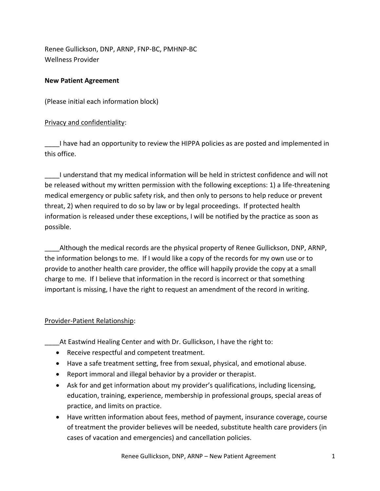Renee Gullickson, DNP, ARNP, FNP-BC, PMHNP-BC Wellness Provider

### **New Patient Agreement**

(Please initial each information block)

# Privacy and confidentiality:

I have had an opportunity to review the HIPPA policies as are posted and implemented in this office.

\_\_\_\_I understand that my medical information will be held in strictest confidence and will not be released without my written permission with the following exceptions: 1) a life-threatening medical emergency or public safety risk, and then only to persons to help reduce or prevent threat, 2) when required to do so by law or by legal proceedings. If protected health information is released under these exceptions, I will be notified by the practice as soon as possible.

Although the medical records are the physical property of Renee Gullickson, DNP, ARNP, the information belongs to me. If I would like a copy of the records for my own use or to provide to another health care provider, the office will happily provide the copy at a small charge to me. If I believe that information in the record is incorrect or that something important is missing, I have the right to request an amendment of the record in writing.

# Provider-Patient Relationship:

\_\_\_\_At Eastwind Healing Center and with Dr. Gullickson, I have the right to:

- Receive respectful and competent treatment.
- Have a safe treatment setting, free from sexual, physical, and emotional abuse.
- Report immoral and illegal behavior by a provider or therapist.
- Ask for and get information about my provider's qualifications, including licensing, education, training, experience, membership in professional groups, special areas of practice, and limits on practice.
- Have written information about fees, method of payment, insurance coverage, course of treatment the provider believes will be needed, substitute health care providers (in cases of vacation and emergencies) and cancellation policies.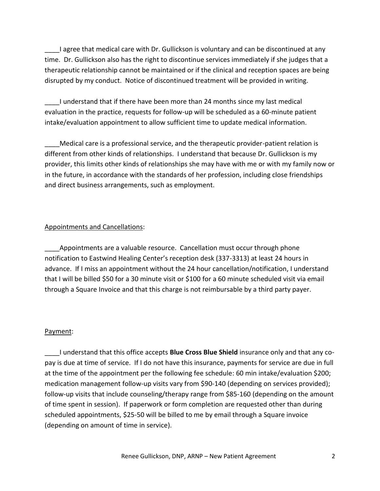Lagree that medical care with Dr. Gullickson is voluntary and can be discontinued at any time. Dr. Gullickson also has the right to discontinue services immediately if she judges that a therapeutic relationship cannot be maintained or if the clinical and reception spaces are being disrupted by my conduct. Notice of discontinued treatment will be provided in writing.

\_\_\_\_I understand that if there have been more than 24 months since my last medical evaluation in the practice, requests for follow-up will be scheduled as a 60-minute patient intake/evaluation appointment to allow sufficient time to update medical information.

Medical care is a professional service, and the therapeutic provider-patient relation is different from other kinds of relationships. I understand that because Dr. Gullickson is my provider, this limits other kinds of relationships she may have with me or with my family now or in the future, in accordance with the standards of her profession, including close friendships and direct business arrangements, such as employment.

### Appointments and Cancellations:

Appointments are a valuable resource. Cancellation must occur through phone notification to Eastwind Healing Center's reception desk (337-3313) at least 24 hours in advance. If I miss an appointment without the 24 hour cancellation/notification, I understand that I will be billed \$50 for a 30 minute visit or \$100 for a 60 minute scheduled visit via email through a Square Invoice and that this charge is not reimbursable by a third party payer.

#### Payment:

\_\_\_\_I understand that this office accepts **Blue Cross Blue Shield** insurance only and that any copay is due at time of service. If I do not have this insurance, payments for service are due in full at the time of the appointment per the following fee schedule: 60 min intake/evaluation \$200; medication management follow-up visits vary from \$90-140 (depending on services provided); follow-up visits that include counseling/therapy range from \$85-160 (depending on the amount of time spent in session). If paperwork or form completion are requested other than during scheduled appointments, \$25-50 will be billed to me by email through a Square invoice (depending on amount of time in service).